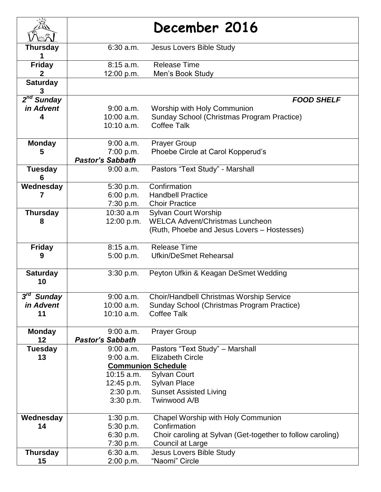|                                     |                         | December 2016                                              |
|-------------------------------------|-------------------------|------------------------------------------------------------|
|                                     |                         |                                                            |
| <b>Thursday</b>                     | $6:30$ a.m.             | Jesus Lovers Bible Study                                   |
|                                     |                         |                                                            |
| <b>Friday</b>                       | $8:15$ a.m.             | <b>Release Time</b>                                        |
| 2                                   | 12:00 p.m.              | Men's Book Study                                           |
| <b>Saturday</b>                     |                         |                                                            |
| 3                                   |                         |                                                            |
| $2nd$ Sunday                        |                         | <b>FOOD SHELF</b>                                          |
| in Advent                           | $9:00$ a.m.             | Worship with Holy Communion                                |
|                                     | $10:00$ a.m.            | Sunday School (Christmas Program Practice)                 |
|                                     | $10:10$ a.m.            | <b>Coffee Talk</b>                                         |
| <b>Monday</b>                       | $9:00$ a.m.             | <b>Prayer Group</b>                                        |
| 5                                   | 7:00 p.m.               | Phoebe Circle at Carol Kopperud's                          |
|                                     | <b>Pastor's Sabbath</b> |                                                            |
| <b>Tuesday</b>                      | 9:00 a.m.               | Pastors "Text Study" - Marshall                            |
| 6                                   |                         |                                                            |
| Wednesday                           | 5:30 p.m.               | Confirmation                                               |
| 7                                   | 6:00 p.m.               | <b>Handbell Practice</b>                                   |
|                                     |                         | 7:30 p.m. Choir Practice                                   |
| <b>Thursday</b>                     | 10:30 a.m               | Sylvan Court Worship                                       |
| 8                                   | 12:00 p.m.              | <b>WELCA Advent/Christmas Luncheon</b>                     |
|                                     |                         | (Ruth, Phoebe and Jesus Lovers – Hostesses)                |
|                                     |                         |                                                            |
| <b>Friday</b>                       | $8:15$ a.m.             | <b>Release Time</b>                                        |
| 9                                   | 5:00 p.m.               | <b>Ufkin/DeSmet Rehearsal</b>                              |
| <b>Saturday</b>                     | 3:30 p.m.               | Peyton Ufkin & Keagan DeSmet Wedding                       |
| 10                                  |                         |                                                            |
|                                     |                         |                                                            |
| $3^{\prime\prime}$<br><b>Sunday</b> | $9:00$ a.m.             | Choir/Handbell Christmas Worship Service                   |
| in Advent                           | 10:00 a.m.              | Sunday School (Christmas Program Practice)                 |
| 11                                  | $10:10$ a.m.            | <b>Coffee Talk</b>                                         |
| <b>Monday</b>                       | $9:00$ a.m.             | <b>Prayer Group</b>                                        |
| 12                                  | <b>Pastor's Sabbath</b> |                                                            |
| <b>Tuesday</b>                      | $9:00$ a.m.             | Pastors "Text Study" - Marshall                            |
| 13                                  | $9:00$ a.m.             | <b>Elizabeth Circle</b>                                    |
|                                     |                         | <b>Communion Schedule</b>                                  |
|                                     | $10:15$ a.m.            | <b>Sylvan Court</b>                                        |
|                                     | 12:45 p.m.              | <b>Sylvan Place</b>                                        |
|                                     | 2:30 p.m.               | <b>Sunset Assisted Living</b>                              |
|                                     | 3:30 p.m.               | Twinwood A/B                                               |
| Wednesday                           | 1:30 p.m.               | Chapel Worship with Holy Communion                         |
| 14                                  | 5:30 p.m.               | Confirmation                                               |
|                                     | 6:30 p.m.               | Choir caroling at Sylvan (Get-together to follow caroling) |
|                                     | 7:30 p.m.               | Council at Large                                           |
| <b>Thursday</b>                     | $6:30$ a.m.             | <b>Jesus Lovers Bible Study</b>                            |
| 15                                  | 2:00 p.m.               | "Naomi" Circle                                             |